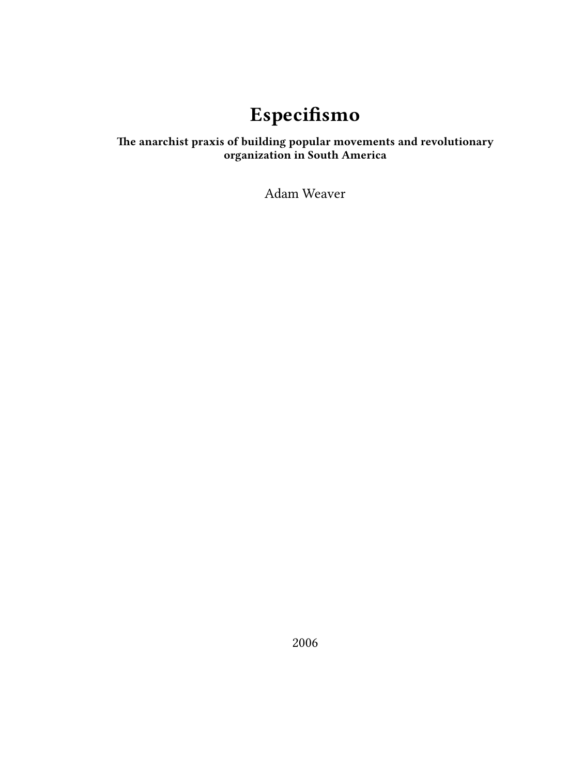# **Especifismo**

### **The anarchist praxis of building popular movements and revolutionary organization in South America**

Adam Weaver

2006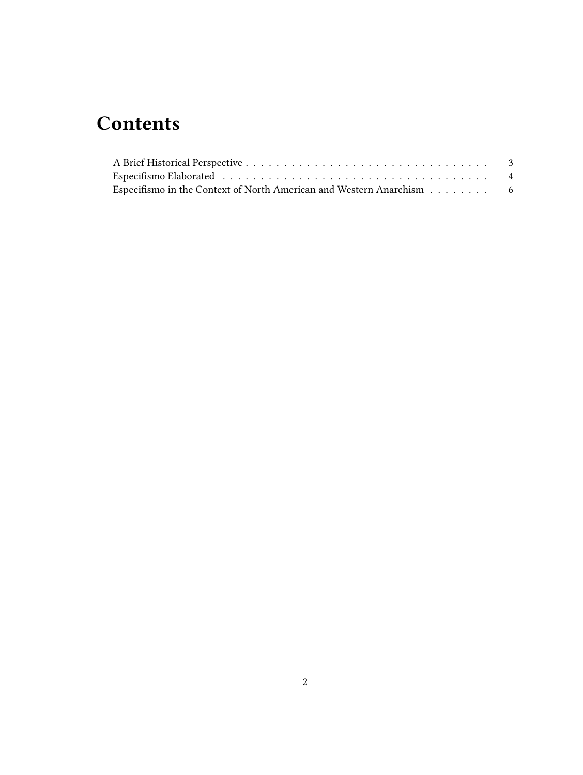# **Contents**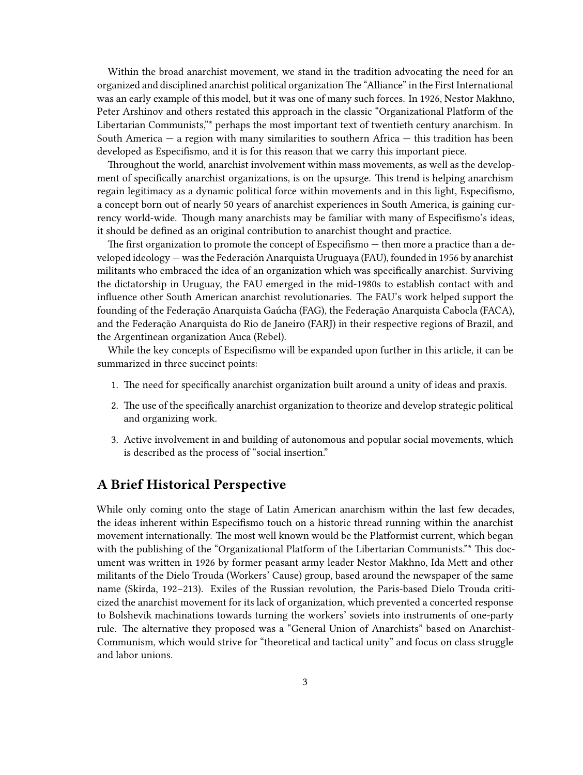Within the broad anarchist movement, we stand in the tradition advocating the need for an organized and disciplined anarchist political organization The "Alliance" in the First International was an early example of this model, but it was one of many such forces. In 1926, Nestor Makhno, Peter Arshinov and others restated this approach in the classic "Organizational Platform of the Libertarian Communists,"\* perhaps the most important text of twentieth century anarchism. In South America  $-$  a region with many similarities to southern Africa  $-$  this tradition has been developed as Especifismo, and it is for this reason that we carry this important piece.

Throughout the world, anarchist involvement within mass movements, as well as the development of specifically anarchist organizations, is on the upsurge. This trend is helping anarchism regain legitimacy as a dynamic political force within movements and in this light, Especifismo, a concept born out of nearly 50 years of anarchist experiences in South America, is gaining currency world-wide. Though many anarchists may be familiar with many of Especifismo's ideas, it should be defined as an original contribution to anarchist thought and practice.

The first organization to promote the concept of Especifismo — then more a practice than a developed ideology — was the Federación Anarquista Uruguaya (FAU), founded in 1956 by anarchist militants who embraced the idea of an organization which was specifically anarchist. Surviving the dictatorship in Uruguay, the FAU emerged in the mid-1980s to establish contact with and influence other South American anarchist revolutionaries. The FAU's work helped support the founding of the Federação Anarquista Gaúcha (FAG), the Federação Anarquista Cabocla (FACA), and the Federação Anarquista do Rio de Janeiro (FARJ) in their respective regions of Brazil, and the Argentinean organization Auca (Rebel).

While the key concepts of Especifismo will be expanded upon further in this article, it can be summarized in three succinct points:

- 1. The need for specifically anarchist organization built around a unity of ideas and praxis.
- 2. The use of the specifically anarchist organization to theorize and develop strategic political and organizing work.
- 3. Active involvement in and building of autonomous and popular social movements, which is described as the process of "social insertion."

#### <span id="page-2-0"></span>**A Brief Historical Perspective**

While only coming onto the stage of Latin American anarchism within the last few decades, the ideas inherent within Especifismo touch on a historic thread running within the anarchist movement internationally. The most well known would be the Platformist current, which began with the publishing of the "Organizational Platform of the Libertarian Communists."\* This document was written in 1926 by former peasant army leader Nestor Makhno, Ida Mett and other militants of the Dielo Trouda (Workers' Cause) group, based around the newspaper of the same name (Skirda, 192–213). Exiles of the Russian revolution, the Paris-based Dielo Trouda criticized the anarchist movement for its lack of organization, which prevented a concerted response to Bolshevik machinations towards turning the workers' soviets into instruments of one-party rule. The alternative they proposed was a "General Union of Anarchists" based on Anarchist-Communism, which would strive for "theoretical and tactical unity" and focus on class struggle and labor unions.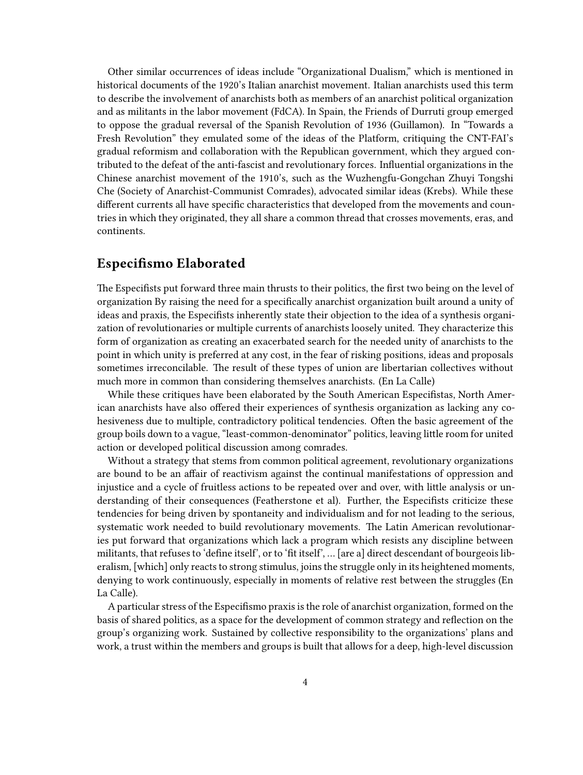Other similar occurrences of ideas include "Organizational Dualism," which is mentioned in historical documents of the 1920's Italian anarchist movement. Italian anarchists used this term to describe the involvement of anarchists both as members of an anarchist political organization and as militants in the labor movement (FdCA). In Spain, the Friends of Durruti group emerged to oppose the gradual reversal of the Spanish Revolution of 1936 (Guillamon). In "Towards a Fresh Revolution" they emulated some of the ideas of the Platform, critiquing the CNT-FAI's gradual reformism and collaboration with the Republican government, which they argued contributed to the defeat of the anti-fascist and revolutionary forces. Influential organizations in the Chinese anarchist movement of the 1910's, such as the Wuzhengfu-Gongchan Zhuyi Tongshi Che (Society of Anarchist-Communist Comrades), advocated similar ideas (Krebs). While these different currents all have specific characteristics that developed from the movements and countries in which they originated, they all share a common thread that crosses movements, eras, and continents.

#### <span id="page-3-0"></span>**Especifismo Elaborated**

The Especifists put forward three main thrusts to their politics, the first two being on the level of organization By raising the need for a specifically anarchist organization built around a unity of ideas and praxis, the Especifists inherently state their objection to the idea of a synthesis organization of revolutionaries or multiple currents of anarchists loosely united. They characterize this form of organization as creating an exacerbated search for the needed unity of anarchists to the point in which unity is preferred at any cost, in the fear of risking positions, ideas and proposals sometimes irreconcilable. The result of these types of union are libertarian collectives without much more in common than considering themselves anarchists. (En La Calle)

While these critiques have been elaborated by the South American Especifistas, North American anarchists have also offered their experiences of synthesis organization as lacking any cohesiveness due to multiple, contradictory political tendencies. Often the basic agreement of the group boils down to a vague, "least-common-denominator" politics, leaving little room for united action or developed political discussion among comrades.

Without a strategy that stems from common political agreement, revolutionary organizations are bound to be an affair of reactivism against the continual manifestations of oppression and injustice and a cycle of fruitless actions to be repeated over and over, with little analysis or understanding of their consequences (Featherstone et al). Further, the Especifists criticize these tendencies for being driven by spontaneity and individualism and for not leading to the serious, systematic work needed to build revolutionary movements. The Latin American revolutionaries put forward that organizations which lack a program which resists any discipline between militants, that refuses to 'define itself', or to 'fit itself', … [are a] direct descendant of bourgeois liberalism, [which] only reacts to strong stimulus, joins the struggle only in its heightened moments, denying to work continuously, especially in moments of relative rest between the struggles (En La Calle).

A particular stress of the Especifismo praxis is the role of anarchist organization, formed on the basis of shared politics, as a space for the development of common strategy and reflection on the group's organizing work. Sustained by collective responsibility to the organizations' plans and work, a trust within the members and groups is built that allows for a deep, high-level discussion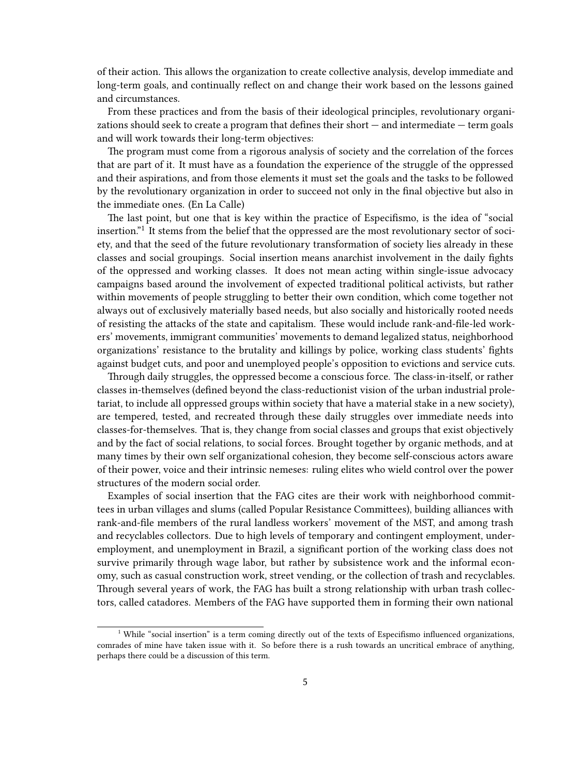of their action. This allows the organization to create collective analysis, develop immediate and long-term goals, and continually reflect on and change their work based on the lessons gained and circumstances.

From these practices and from the basis of their ideological principles, revolutionary organizations should seek to create a program that defines their short  $-$  and intermediate  $-$  term goals and will work towards their long-term objectives:

The program must come from a rigorous analysis of society and the correlation of the forces that are part of it. It must have as a foundation the experience of the struggle of the oppressed and their aspirations, and from those elements it must set the goals and the tasks to be followed by the revolutionary organization in order to succeed not only in the final objective but also in the immediate ones. (En La Calle)

The last point, but one that is key within the practice of Especifismo, is the idea of "social insertion."<sup>1</sup> It stems from the belief that the oppressed are the most revolutionary sector of society, and that the seed of the future revolutionary transformation of society lies already in these classes and social groupings. Social insertion means anarchist involvement in the daily fights of the oppressed and working classes. It does not mean acting within single-issue advocacy campaigns based around the involvement of expected traditional political activists, but rather within movements of people struggling to better their own condition, which come together not always out of exclusively materially based needs, but also socially and historically rooted needs of resisting the attacks of the state and capitalism. These would include rank-and-file-led workers' movements, immigrant communities' movements to demand legalized status, neighborhood organizations' resistance to the brutality and killings by police, working class students' fights against budget cuts, and poor and unemployed people's opposition to evictions and service cuts.

Through daily struggles, the oppressed become a conscious force. The class-in-itself, or rather classes in-themselves (defined beyond the class-reductionist vision of the urban industrial proletariat, to include all oppressed groups within society that have a material stake in a new society), are tempered, tested, and recreated through these daily struggles over immediate needs into classes-for-themselves. That is, they change from social classes and groups that exist objectively and by the fact of social relations, to social forces. Brought together by organic methods, and at many times by their own self organizational cohesion, they become self-conscious actors aware of their power, voice and their intrinsic nemeses: ruling elites who wield control over the power structures of the modern social order.

Examples of social insertion that the FAG cites are their work with neighborhood committees in urban villages and slums (called Popular Resistance Committees), building alliances with rank-and-file members of the rural landless workers' movement of the MST, and among trash and recyclables collectors. Due to high levels of temporary and contingent employment, underemployment, and unemployment in Brazil, a significant portion of the working class does not survive primarily through wage labor, but rather by subsistence work and the informal economy, such as casual construction work, street vending, or the collection of trash and recyclables. Through several years of work, the FAG has built a strong relationship with urban trash collectors, called catadores. Members of the FAG have supported them in forming their own national

<sup>&</sup>lt;sup>1</sup> While "social insertion" is a term coming directly out of the texts of Especifismo influenced organizations, comrades of mine have taken issue with it. So before there is a rush towards an uncritical embrace of anything, perhaps there could be a discussion of this term.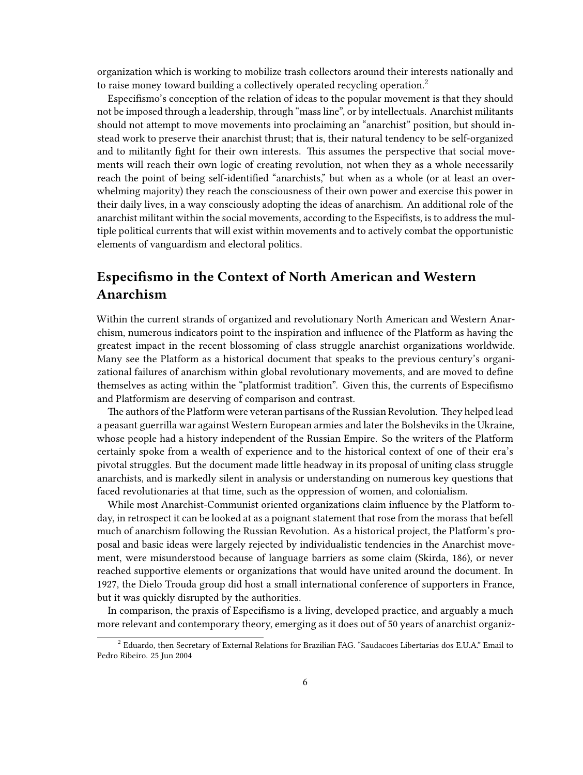organization which is working to mobilize trash collectors around their interests nationally and to raise money toward building a collectively operated recycling operation.<sup>2</sup>

Especifismo's conception of the relation of ideas to the popular movement is that they should not be imposed through a leadership, through "mass line", or by intellectuals. Anarchist militants should not attempt to move movements into proclaiming an "anarchist" position, but should instead work to preserve their anarchist thrust; that is, their natural tendency to be self-organized and to militantly fight for their own interests. This assumes the perspective that social movements will reach their own logic of creating revolution, not when they as a whole necessarily reach the point of being self-identified "anarchists," but when as a whole (or at least an overwhelming majority) they reach the consciousness of their own power and exercise this power in their daily lives, in a way consciously adopting the ideas of anarchism. An additional role of the anarchist militant within the social movements, according to the Especifists, is to address the multiple political currents that will exist within movements and to actively combat the opportunistic elements of vanguardism and electoral politics.

### <span id="page-5-0"></span>**Especifismo in the Context of North American and Western Anarchism**

Within the current strands of organized and revolutionary North American and Western Anarchism, numerous indicators point to the inspiration and influence of the Platform as having the greatest impact in the recent blossoming of class struggle anarchist organizations worldwide. Many see the Platform as a historical document that speaks to the previous century's organizational failures of anarchism within global revolutionary movements, and are moved to define themselves as acting within the "platformist tradition". Given this, the currents of Especifismo and Platformism are deserving of comparison and contrast.

The authors of the Platform were veteran partisans of the Russian Revolution. They helped lead a peasant guerrilla war against Western European armies and later the Bolsheviks in the Ukraine, whose people had a history independent of the Russian Empire. So the writers of the Platform certainly spoke from a wealth of experience and to the historical context of one of their era's pivotal struggles. But the document made little headway in its proposal of uniting class struggle anarchists, and is markedly silent in analysis or understanding on numerous key questions that faced revolutionaries at that time, such as the oppression of women, and colonialism.

While most Anarchist-Communist oriented organizations claim influence by the Platform today, in retrospect it can be looked at as a poignant statement that rose from the morass that befell much of anarchism following the Russian Revolution. As a historical project, the Platform's proposal and basic ideas were largely rejected by individualistic tendencies in the Anarchist movement, were misunderstood because of language barriers as some claim (Skirda, 186), or never reached supportive elements or organizations that would have united around the document. In 1927, the Dielo Trouda group did host a small international conference of supporters in France, but it was quickly disrupted by the authorities.

In comparison, the praxis of Especifismo is a living, developed practice, and arguably a much more relevant and contemporary theory, emerging as it does out of 50 years of anarchist organiz-

 $^2$  Eduardo, then Secretary of External Relations for Brazilian FAG. "Saudacoes Libertarias dos E.U.A." Email to Pedro Ribeiro. 25 Jun 2004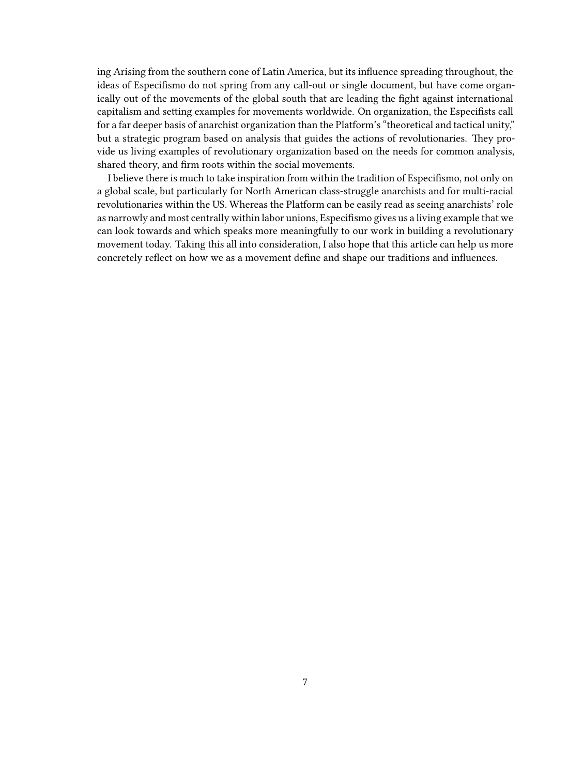ing Arising from the southern cone of Latin America, but its influence spreading throughout, the ideas of Especifismo do not spring from any call-out or single document, but have come organically out of the movements of the global south that are leading the fight against international capitalism and setting examples for movements worldwide. On organization, the Especifists call for a far deeper basis of anarchist organization than the Platform's "theoretical and tactical unity," but a strategic program based on analysis that guides the actions of revolutionaries. They provide us living examples of revolutionary organization based on the needs for common analysis, shared theory, and firm roots within the social movements.

I believe there is much to take inspiration from within the tradition of Especifismo, not only on a global scale, but particularly for North American class-struggle anarchists and for multi-racial revolutionaries within the US. Whereas the Platform can be easily read as seeing anarchists' role as narrowly and most centrally within labor unions, Especifismo gives us a living example that we can look towards and which speaks more meaningfully to our work in building a revolutionary movement today. Taking this all into consideration, I also hope that this article can help us more concretely reflect on how we as a movement define and shape our traditions and influences.